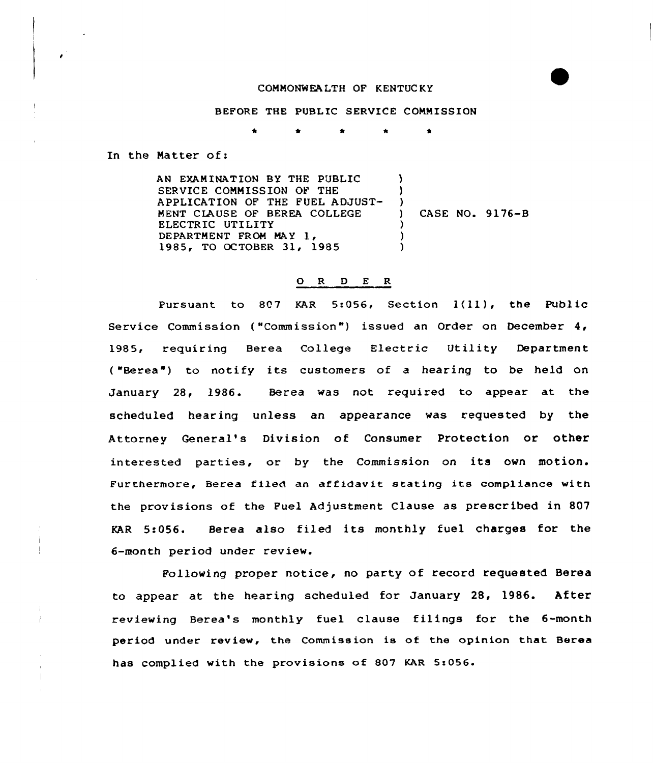## COMMONWEALTH OF KENTUC KY

## BEFORE THE PUBLIC SERVICE COMMISSION

\* \* \* \* \*

In the Matter of:

 $\mathbf{I}$ 

AN EXAMINATION BY THE PUBLIC SERVICE COMMISSION OF THE APPLICATION OF THE FUEL ADJUST-MENT CLAUSE OF BEREA COLLEGE ELECTRIC UTILITY DEPARTMENT FROM MAY 1, 1985, TO OCTOBER 31, 1985 3 ) )<br>) ) CASE NO. 9176-B ) ) )

## 0 <sup>R</sup> <sup>D</sup> E R

Pursuant to 807 KAR 5:056, Section 1(11), the Public Service Commission ( "Commission ") issued an Order on December 4, 1985, requiring Berea College Electric Utility Department ( "Berea") to notify its customers of a hearing to be held on January 28, 1986. Berea was not required to appear at the scheduled hearing unless an appearance was requested by the Attorney General's Division of Consumer Protection or other interested parties, or by the Commission on its own motion. Furthermore, Berea filed an affidavit stating its compliance with the provisions of the Fuel Adjustment Clause as prescribed in 807  $KAR$  5:056. Berea also filed its monthly fuel charges for the 6-month period under review.

Following proper notice, no party of record requested Berea to appear at the hearing scheduled for January 28, 1986. After reviewing Berea's monthly fuel clause filings for the 6-month period under review, the Commission is of the opinion that Berea has complied with the provisions of 807 KAR 5:056.